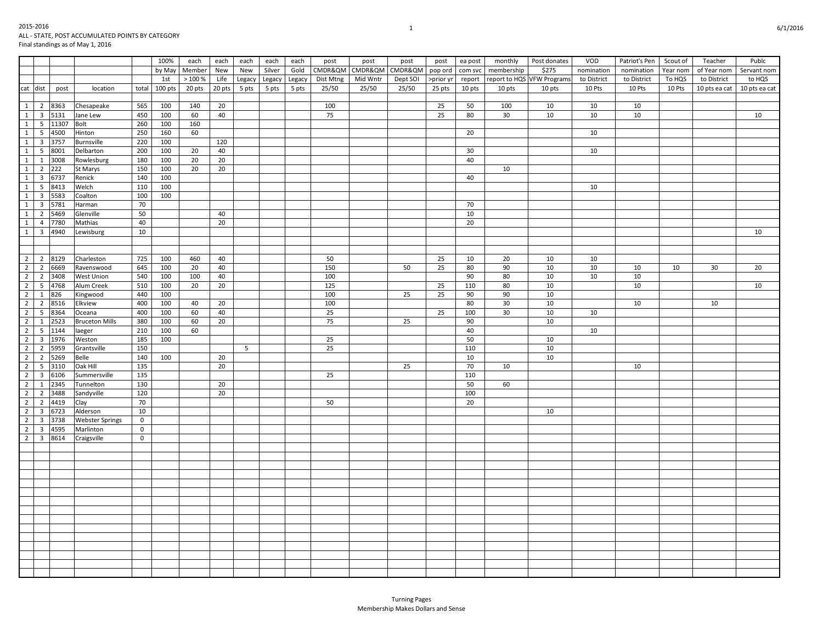|                                           |                |       |                        |             | 100%    | each   | each   | each   | each   | each   | post      | post     | post     | post      | ea post | monthly    | Post donates               | VOD         | Patriot's Pen | Scout of | Teacher       | Publc         |
|-------------------------------------------|----------------|-------|------------------------|-------------|---------|--------|--------|--------|--------|--------|-----------|----------|----------|-----------|---------|------------|----------------------------|-------------|---------------|----------|---------------|---------------|
|                                           |                |       |                        |             | by May  | Member | New    | New    | Silver | Gold   | CMDR&QM   | CMDR&QM  | CMDR&QM  | pop ord   | com svc | membership | \$275                      | nomination  | nomination    | Year nom | of Year nom   | Servant nom   |
|                                           |                |       |                        |             | 1st     | >100%  | Life   | Legacy | Legacy | Legacy | Dist Mtng | Mid Wntr | Dept SOI | >prior yr | report  |            | report to HQS VFW Programs | to District | to District   | To HQS   | to District   | to HQS        |
| $cat$ dist                                |                | post  | location               | total       | 100 pts | 20 pts | 20 pts | 5 pts  | 5 pts  | 5 pts  | 25/50     | 25/50    | 25/50    | 25 pts    | 10 pts  | 10 pts     | 10 pts                     | 10 Pts      | 10 Pts        | 10 Pts   | 10 pts ea cat | 10 pts ea cat |
|                                           |                |       |                        |             |         |        |        |        |        |        |           |          |          |           |         |            |                            |             |               |          |               |               |
| $\overline{1}$                            | 2              | 8363  | Chesapeake             | 565         | 100     | 140    | 20     |        |        |        | 100       |          |          | 25        | 50      | 100        | 10                         | 10          | 10            |          |               |               |
| $\mathbf{1}$<br>$\overline{\mathbf{3}}$   |                | 5131  | Jane Lew               | 450         | 100     | 60     | 40     |        |        |        | 75        |          |          | 25        | 80      | 30         | 10                         | 10          | 10            |          |               | 10            |
| 1<br>5                                    |                | 11307 | Bolt                   | 260         | 100     | 160    |        |        |        |        |           |          |          |           |         |            |                            |             |               |          |               |               |
| $\overline{1}$<br>$5\overline{5}$         |                | 4500  | Hinton                 | 250         | 160     | 60     |        |        |        |        |           |          |          |           | 20      |            |                            | 10          |               |          |               |               |
| $\overline{1}$<br>$\overline{\mathbf{3}}$ |                | 3757  | Burnsville             | 220         | 100     |        | 120    |        |        |        |           |          |          |           |         |            |                            |             |               |          |               |               |
| $\overline{1}$<br>5                       |                | 8001  | Delbarton              | 200         | 100     | 20     | 40     |        |        |        |           |          |          |           | 30      |            |                            | 10          |               |          |               |               |
| $\overline{1}$<br>$\mathbf{1}$            |                | 3008  | Rowlesburg             | 180         | 100     | 20     | 20     |        |        |        |           |          |          |           | 40      |            |                            |             |               |          |               |               |
| $\overline{1}$<br>$\overline{2}$          | 222            |       | St Marys               | 150         | 100     | 20     | 20     |        |        |        |           |          |          |           |         | 10         |                            |             |               |          |               |               |
| $\mathbf{1}$<br>$\overline{\mathbf{3}}$   |                | 6737  | Renick                 | 140         | 100     |        |        |        |        |        |           |          |          |           | 40      |            |                            |             |               |          |               |               |
| $\overline{1}$<br>5                       |                | 8413  | Welch                  | 110         | 100     |        |        |        |        |        |           |          |          |           |         |            |                            | 10          |               |          |               |               |
| $\overline{1}$<br>$\overline{\mathbf{3}}$ |                | 5583  | Coalton                | 100         | 100     |        |        |        |        |        |           |          |          |           |         |            |                            |             |               |          |               |               |
| $\overline{1}$<br>$\overline{3}$          |                | 5781  | Harman                 | 70          |         |        |        |        |        |        |           |          |          |           | 70      |            |                            |             |               |          |               |               |
| $\mathbf{1}$<br>$\overline{2}$            |                | 5469  | Glenville              | 50          |         |        | 40     |        |        |        |           |          |          |           | 10      |            |                            |             |               |          |               |               |
| $\overline{1}$                            | $\overline{4}$ | 7780  | Mathias                | 40          |         |        | 20     |        |        |        |           |          |          |           | 20      |            |                            |             |               |          |               |               |
| $\overline{1}$<br>$\overline{\mathbf{3}}$ |                | 4940  | Lewisburg              | 10          |         |        |        |        |        |        |           |          |          |           |         |            |                            |             |               |          |               | 10            |
|                                           |                |       |                        |             |         |        |        |        |        |        |           |          |          |           |         |            |                            |             |               |          |               |               |
|                                           |                |       |                        |             |         |        |        |        |        |        |           |          |          |           |         |            |                            |             |               |          |               |               |
| $\overline{2}$                            | 2 8129         |       | Charleston             | 725         | 100     | 460    | 40     |        |        |        | 50        |          |          | 25        | 10      | 20         | 10                         | 10          |               |          |               |               |
| $\overline{2}$<br>$\overline{2}$          |                | 6669  | Ravenswood             | 645         | 100     | 20     | 40     |        |        |        | 150       |          | 50       | 25        | 80      | 90         | 10                         | 10          | 10            | 10       | 30            | 20            |
| $\overline{2}$<br>$\overline{2}$          |                | 3408  | West Union             | 540         | 100     | 100    | 40     |        |        |        | 100       |          |          |           | 90      | 80         | 10                         | 10          | 10            |          |               |               |
| $\overline{2}$                            | 5 4768         |       | Alum Creek             | 510         | 100     | 20     | 20     |        |        |        | 125       |          |          | 25        | 110     | 80         | 10                         |             | 10            |          |               | 10            |
| $\overline{2}$<br>$\mathbf{1}$            | 826            |       | Kingwood               | 440         | 100     |        |        |        |        |        | 100       |          | 25       | 25        | 90      | 90         | 10                         |             |               |          |               |               |
| $\overline{2}$                            | $\overline{2}$ | 8516  | Elkview                | 400         | 100     | 40     | 20     |        |        |        | 100       |          |          |           | 80      | 30         | 10                         |             | 10            |          | 10            |               |
| $\overline{2}$<br>5                       |                | 8364  | Oceana                 | 400         | 100     | 60     | 40     |        |        |        | 25        |          |          | 25        | 100     | 30         | 10                         | 10          |               |          |               |               |
| $\overline{2}$<br>$\mathbf{1}$            |                | 2523  | <b>Bruceton Mills</b>  | 380         | 100     | 60     | 20     |        |        |        | 75        |          | 25       |           | 90      |            | 10                         |             |               |          |               |               |
| $\overline{2}$                            | 5 <sup>5</sup> | 1144  | laeger                 | 210         | 100     | 60     |        |        |        |        |           |          |          |           | 40      |            |                            | 10          |               |          |               |               |
| $\overline{2}$<br>$\overline{\mathbf{3}}$ |                | 1976  | Weston                 | 185         | 100     |        |        |        |        |        | 25        |          |          |           | 50      |            | 10                         |             |               |          |               |               |
| $\overline{2}$<br>$\overline{2}$          |                | 5959  | Grantsville            | 150         |         |        |        | 5      |        |        | 25        |          |          |           | 110     |            | 10                         |             |               |          |               |               |
| $\overline{2}$<br>$\overline{2}$          |                | 5269  | Belle                  | 140         | 100     |        | 20     |        |        |        |           |          |          |           | 10      |            | 10                         |             |               |          |               |               |
| $\overline{2}$<br>$5\overline{5}$         |                | 3110  | Oak Hill               | 135         |         |        | 20     |        |        |        |           |          | 25       |           | 70      | 10         |                            |             | 10            |          |               |               |
| $\overline{2}$<br>$\overline{\mathbf{3}}$ |                | 6106  | Summersville           | 135         |         |        |        |        |        |        | 25        |          |          |           | 110     |            |                            |             |               |          |               |               |
| $\overline{2}$<br>1                       |                | 2345  | Tunnelton              | 130         |         |        | 20     |        |        |        |           |          |          |           | 50      | 60         |                            |             |               |          |               |               |
| $\overline{2}$<br>$\overline{2}$          |                | 3488  | Sandyville             | 120         |         |        | 20     |        |        |        |           |          |          |           | 100     |            |                            |             |               |          |               |               |
| $\overline{2}$<br>$\overline{2}$          |                | 4419  | Clay                   | 70          |         |        |        |        |        |        | 50        |          |          |           | 20      |            |                            |             |               |          |               |               |
| $\overline{2}$<br>$\overline{\mathbf{3}}$ |                | 6723  | Alderson               | 10          |         |        |        |        |        |        |           |          |          |           |         |            | 10                         |             |               |          |               |               |
| $\overline{2}$<br>$\overline{\mathbf{3}}$ |                | 3738  | <b>Webster Springs</b> | $\mathbf 0$ |         |        |        |        |        |        |           |          |          |           |         |            |                            |             |               |          |               |               |
| $\overline{2}$                            | $\overline{3}$ | 4595  | Marlinton              | $\mathbf 0$ |         |        |        |        |        |        |           |          |          |           |         |            |                            |             |               |          |               |               |
| $\overline{2}$                            | 3 8614         |       | Craigsville            | $\mathbf 0$ |         |        |        |        |        |        |           |          |          |           |         |            |                            |             |               |          |               |               |
|                                           |                |       |                        |             |         |        |        |        |        |        |           |          |          |           |         |            |                            |             |               |          |               |               |
|                                           |                |       |                        |             |         |        |        |        |        |        |           |          |          |           |         |            |                            |             |               |          |               |               |
|                                           |                |       |                        |             |         |        |        |        |        |        |           |          |          |           |         |            |                            |             |               |          |               |               |
|                                           |                |       |                        |             |         |        |        |        |        |        |           |          |          |           |         |            |                            |             |               |          |               |               |
|                                           |                |       |                        |             |         |        |        |        |        |        |           |          |          |           |         |            |                            |             |               |          |               |               |
|                                           |                |       |                        |             |         |        |        |        |        |        |           |          |          |           |         |            |                            |             |               |          |               |               |
|                                           |                |       |                        |             |         |        |        |        |        |        |           |          |          |           |         |            |                            |             |               |          |               |               |
|                                           |                |       |                        |             |         |        |        |        |        |        |           |          |          |           |         |            |                            |             |               |          |               |               |
|                                           |                |       |                        |             |         |        |        |        |        |        |           |          |          |           |         |            |                            |             |               |          |               |               |
|                                           |                |       |                        |             |         |        |        |        |        |        |           |          |          |           |         |            |                            |             |               |          |               |               |
|                                           |                |       |                        |             |         |        |        |        |        |        |           |          |          |           |         |            |                            |             |               |          |               |               |
|                                           |                |       |                        |             |         |        |        |        |        |        |           |          |          |           |         |            |                            |             |               |          |               |               |
|                                           |                |       |                        |             |         |        |        |        |        |        |           |          |          |           |         |            |                            |             |               |          |               |               |
|                                           |                |       |                        |             |         |        |        |        |        |        |           |          |          |           |         |            |                            |             |               |          |               |               |
|                                           |                |       |                        |             |         |        |        |        |        |        |           |          |          |           |         |            |                            |             |               |          |               |               |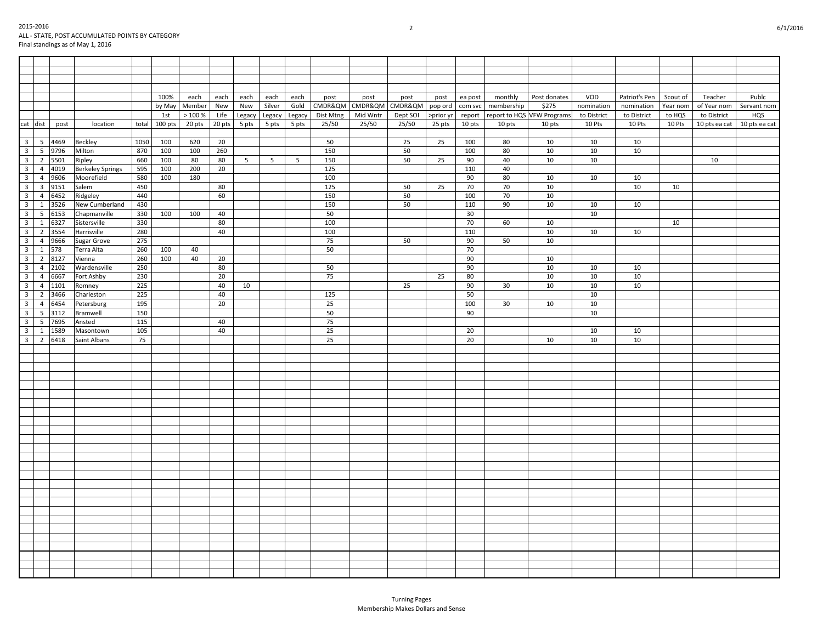|                         |                |        | $$ standings as of $$ $\frac{1}{2}$ $\frac{1}{2}$ = $\frac{1}{2}$ = $\frac{1}{2}$ |      |               |            |        |        |                |        |           |          |                         |           |         |            |                            |             |               |          |                               |             |
|-------------------------|----------------|--------|-----------------------------------------------------------------------------------|------|---------------|------------|--------|--------|----------------|--------|-----------|----------|-------------------------|-----------|---------|------------|----------------------------|-------------|---------------|----------|-------------------------------|-------------|
|                         |                |        |                                                                                   |      |               |            |        |        |                |        |           |          |                         |           |         |            |                            |             |               |          |                               |             |
|                         |                |        |                                                                                   |      |               |            |        |        |                |        |           |          |                         |           |         |            |                            |             |               |          |                               |             |
|                         |                |        |                                                                                   |      |               |            |        |        |                |        |           |          |                         |           |         |            |                            |             |               |          |                               |             |
|                         |                |        |                                                                                   |      |               |            |        |        |                |        |           |          |                         |           |         |            |                            |             |               |          |                               |             |
|                         |                |        |                                                                                   |      | 100%          | each       |        |        |                |        |           |          |                         |           |         | monthly    | Post donates               | VOD         | Patriot's Pen | Scout of | Teacher                       | Publc       |
|                         |                |        |                                                                                   |      |               |            | each   | each   | each           | each   | post      | post     | post                    | post      | ea post |            |                            |             |               |          |                               |             |
|                         |                |        |                                                                                   |      | by May        | Member     | New    | New    | Silver         | Gold   |           |          | CMDR&QM CMDR&QM CMDR&QM | pop ord   | com svc | membership | \$275                      | nomination  | nomination    | Year nom | of Year nom                   | Servant nom |
|                         |                |        |                                                                                   |      | 1st           | $>100\,\%$ | Life   | Legacy | Legacy         | Legacy | Dist Mtng | Mid Wntr | Dept SOI                | >prior yr | report  |            | report to HQS VFW Programs | to District | to District   | to HQS   | to District                   | HQS         |
|                         | cat dist       | post   | location                                                                          |      | total 100 pts | 20 pts     | 20 pts | 5 pts  | 5 pts          | 5 pts  | 25/50     | 25/50    | 25/50                   | 25 pts    | 10 pts  | 10 pts     | 10 pts                     | 10 Pts      | 10 Pts        | 10 Pts   | 10 pts ea cat   10 pts ea cat |             |
|                         |                |        |                                                                                   |      |               |            |        |        |                |        |           |          |                         |           |         |            |                            |             |               |          |                               |             |
| $\overline{\mathbf{3}}$ |                | 5 4469 | Beckley                                                                           | 1050 | 100           | 620        | 20     |        |                |        | 50        |          | 25                      | 25        | 100     | 80         | 10                         | 10          | 10            |          |                               |             |
| $\overline{\mathbf{3}}$ | 5 <sup>5</sup> | 9796   | Milton                                                                            | 870  | 100           | 100        | 260    |        |                |        | 150       |          | 50                      |           | 100     | 80         | 10                         | 10          | 10            |          |                               |             |
| $\overline{\mathbf{3}}$ | $\overline{2}$ | 5501   | Ripley                                                                            | 660  | 100           | 80         | 80     | 5      | 5 <sup>5</sup> | 5      | 150       |          | 50                      | 25        | 90      | 40         | 10                         | 10          |               |          | 10                            |             |
| $\overline{\mathbf{3}}$ | $\overline{4}$ | 4019   | <b>Berkeley Springs</b>                                                           | 595  | 100           | 200        | 20     |        |                |        | 125       |          |                         |           | 110     | 40         |                            |             |               |          |                               |             |
| $\overline{\mathbf{3}}$ | $\overline{4}$ | 9606   | Moorefield                                                                        | 580  | 100           | 180        |        |        |                |        | 100       |          |                         |           | 90      | 80         | 10                         | 10          | 10            |          |                               |             |
| $\overline{\mathbf{3}}$ | $\overline{3}$ | 9151   | Salem                                                                             | 450  |               |            | 80     |        |                |        | 125       |          | 50                      | 25        | 70      | 70         | 10                         |             | 10            | 10       |                               |             |
| $\overline{3}$          | $\overline{4}$ | 6452   | Ridgeley                                                                          | 440  |               |            | 60     |        |                |        | 150       |          | 50                      |           | 100     | 70         | 10                         |             |               |          |                               |             |
| $\overline{3}$          | $\mathbf{1}$   | 3526   | New Cumberland                                                                    | 430  |               |            |        |        |                |        | 150       |          | 50                      |           | 110     | 90         | 10                         | 10          | 10            |          |                               |             |
| $\overline{\mathbf{3}}$ |                |        |                                                                                   |      |               |            |        |        |                |        |           |          |                         |           |         |            |                            |             |               |          |                               |             |
|                         | 5              | 6153   | Chapmanville                                                                      | 330  | 100           | 100        | 40     |        |                |        | 50        |          |                         |           | 30      |            |                            | 10          |               |          |                               |             |
| $\overline{\mathbf{3}}$ | $\mathbf{1}$   | 6327   | Sistersville                                                                      | 330  |               |            | 80     |        |                |        | 100       |          |                         |           | 70      | 60         | 10                         |             |               | 10       |                               |             |
| $\overline{\mathbf{3}}$ | $\overline{2}$ | 3554   | Harrisville                                                                       | 280  |               |            | 40     |        |                |        | 100       |          |                         |           | 110     |            | 10                         | 10          | 10            |          |                               |             |
| $\overline{\mathbf{3}}$ | $\overline{4}$ | 9666   | Sugar Grove                                                                       | 275  |               |            |        |        |                |        | 75        |          | 50                      |           | 90      | 50         | 10                         |             |               |          |                               |             |
| $\overline{3}$          | $\mathbf{1}$   | 578    | Terra Alta                                                                        | 260  | 100           | 40         |        |        |                |        | 50        |          |                         |           | 70      |            |                            |             |               |          |                               |             |
| $\overline{\mathbf{3}}$ | $\overline{2}$ | 8127   | Vienna                                                                            | 260  | 100           | 40         | 20     |        |                |        |           |          |                         |           | 90      |            | 10                         |             |               |          |                               |             |
| $\overline{\mathbf{3}}$ | $\overline{4}$ | 2102   | Wardensville                                                                      | 250  |               |            | 80     |        |                |        | 50        |          |                         |           | 90      |            | 10                         | 10          | 10            |          |                               |             |
| $\overline{\mathbf{3}}$ |                | 4 6667 | Fort Ashby                                                                        | 230  |               |            | 20     |        |                |        | 75        |          |                         | 25        | 80      |            | $10\,$                     | 10          | 10            |          |                               |             |
| $\overline{3}$          | $\overline{4}$ | 1101   | Romney                                                                            | 225  |               |            | 40     | 10     |                |        |           |          | 25                      |           | 90      | 30         | 10                         | 10          | 10            |          |                               |             |
| $\overline{\mathbf{3}}$ | $\overline{2}$ | 3466   | Charleston                                                                        | 225  |               |            | 40     |        |                |        | 125       |          |                         |           | 50      |            |                            | 10          |               |          |                               |             |
| $\overline{3}$          | $\overline{4}$ | 6454   | Petersburg                                                                        | 195  |               |            | 20     |        |                |        | 25        |          |                         |           | 100     | 30         | 10                         | 10          |               |          |                               |             |
| $\overline{\mathbf{3}}$ | 5              | 3112   | Bramwell                                                                          | 150  |               |            |        |        |                |        | 50        |          |                         |           | 90      |            |                            | 10          |               |          |                               |             |
| $\overline{\mathbf{3}}$ | 5              | 7695   | Ansted                                                                            | 115  |               |            | 40     |        |                |        | 75        |          |                         |           |         |            |                            |             |               |          |                               |             |
| $\overline{\mathbf{3}}$ | $\mathbf{1}$   | 1589   | Masontown                                                                         | 105  |               |            | 40     |        |                |        | 25        |          |                         |           | 20      |            |                            | 10          | 10            |          |                               |             |
| $\overline{3}$          |                | 2 6418 | Saint Albans                                                                      | 75   |               |            |        |        |                |        | 25        |          |                         |           | 20      |            | 10                         | 10          | 10            |          |                               |             |
|                         |                |        |                                                                                   |      |               |            |        |        |                |        |           |          |                         |           |         |            |                            |             |               |          |                               |             |
|                         |                |        |                                                                                   |      |               |            |        |        |                |        |           |          |                         |           |         |            |                            |             |               |          |                               |             |
|                         |                |        |                                                                                   |      |               |            |        |        |                |        |           |          |                         |           |         |            |                            |             |               |          |                               |             |
|                         |                |        |                                                                                   |      |               |            |        |        |                |        |           |          |                         |           |         |            |                            |             |               |          |                               |             |
|                         |                |        |                                                                                   |      |               |            |        |        |                |        |           |          |                         |           |         |            |                            |             |               |          |                               |             |
|                         |                |        |                                                                                   |      |               |            |        |        |                |        |           |          |                         |           |         |            |                            |             |               |          |                               |             |
|                         |                |        |                                                                                   |      |               |            |        |        |                |        |           |          |                         |           |         |            |                            |             |               |          |                               |             |
|                         |                |        |                                                                                   |      |               |            |        |        |                |        |           |          |                         |           |         |            |                            |             |               |          |                               |             |
|                         |                |        |                                                                                   |      |               |            |        |        |                |        |           |          |                         |           |         |            |                            |             |               |          |                               |             |
|                         |                |        |                                                                                   |      |               |            |        |        |                |        |           |          |                         |           |         |            |                            |             |               |          |                               |             |
|                         |                |        |                                                                                   |      |               |            |        |        |                |        |           |          |                         |           |         |            |                            |             |               |          |                               |             |
|                         |                |        |                                                                                   |      |               |            |        |        |                |        |           |          |                         |           |         |            |                            |             |               |          |                               |             |
|                         |                |        |                                                                                   |      |               |            |        |        |                |        |           |          |                         |           |         |            |                            |             |               |          |                               |             |
|                         |                |        |                                                                                   |      |               |            |        |        |                |        |           |          |                         |           |         |            |                            |             |               |          |                               |             |
|                         |                |        |                                                                                   |      |               |            |        |        |                |        |           |          |                         |           |         |            |                            |             |               |          |                               |             |
|                         |                |        |                                                                                   |      |               |            |        |        |                |        |           |          |                         |           |         |            |                            |             |               |          |                               |             |
|                         |                |        |                                                                                   |      |               |            |        |        |                |        |           |          |                         |           |         |            |                            |             |               |          |                               |             |
|                         |                |        |                                                                                   |      |               |            |        |        |                |        |           |          |                         |           |         |            |                            |             |               |          |                               |             |
|                         |                |        |                                                                                   |      |               |            |        |        |                |        |           |          |                         |           |         |            |                            |             |               |          |                               |             |
|                         |                |        |                                                                                   |      |               |            |        |        |                |        |           |          |                         |           |         |            |                            |             |               |          |                               |             |
|                         |                |        |                                                                                   |      |               |            |        |        |                |        |           |          |                         |           |         |            |                            |             |               |          |                               |             |
|                         |                |        |                                                                                   |      |               |            |        |        |                |        |           |          |                         |           |         |            |                            |             |               |          |                               |             |
|                         |                |        |                                                                                   |      |               |            |        |        |                |        |           |          |                         |           |         |            |                            |             |               |          |                               |             |
|                         |                |        |                                                                                   |      |               |            |        |        |                |        |           |          |                         |           |         |            |                            |             |               |          |                               |             |
|                         |                |        |                                                                                   |      |               |            |        |        |                |        |           |          |                         |           |         |            |                            |             |               |          |                               |             |
|                         |                |        |                                                                                   |      |               |            |        |        |                |        |           |          |                         |           |         |            |                            |             |               |          |                               |             |
|                         |                |        |                                                                                   |      |               |            |        |        |                |        |           |          |                         |           |         |            |                            |             |               |          |                               |             |
|                         |                |        |                                                                                   |      |               |            |        |        |                |        |           |          |                         |           |         |            |                            |             |               |          |                               |             |